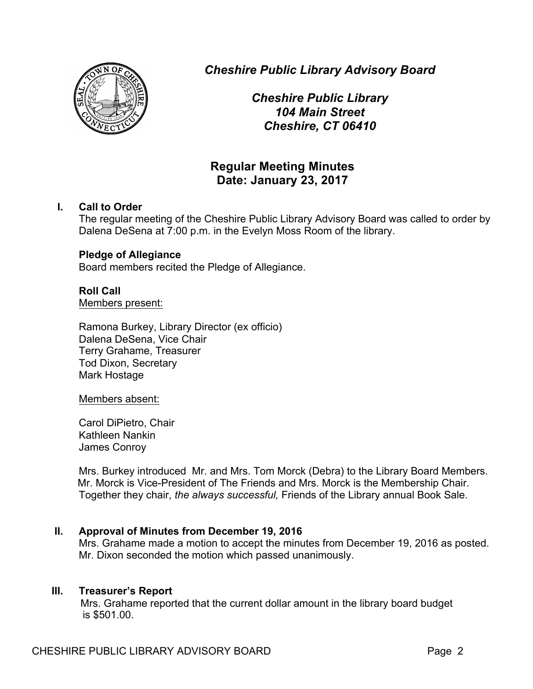

*Cheshire Public Library Advisory Board*

*Cheshire Public Library 104 Main Street Cheshire, CT 06410*

## **Regular Meeting Minutes Date: January 23, 2017**

## **I. Call to Order**

The regular meeting of the Cheshire Public Library Advisory Board was called to order by Dalena DeSena at 7:00 p.m. in the Evelyn Moss Room of the library.

## **Pledge of Allegiance**

Board members recited the Pledge of Allegiance.

# **Roll Call**

Members present:

Ramona Burkey, Library Director (ex officio) Dalena DeSena, Vice Chair Terry Grahame, Treasurer Tod Dixon, Secretary Mark Hostage

## Members absent:

Carol DiPietro, Chair Kathleen Nankin James Conroy

Mrs. Burkey introduced Mr. and Mrs. Tom Morck (Debra) to the Library Board Members. Mr. Morck is Vice-President of The Friends and Mrs. Morck is the Membership Chair. Together they chair, *the always successful,* Friends of the Library annual Book Sale.

## **II. Approval of Minutes from December 19, 2016**

Mrs. Grahame made a motion to accept the minutes from December 19, 2016 as posted. Mr. Dixon seconded the motion which passed unanimously.

## **III. Treasurer's Report**

Mrs. Grahame reported that the current dollar amount in the library board budget is \$501.00.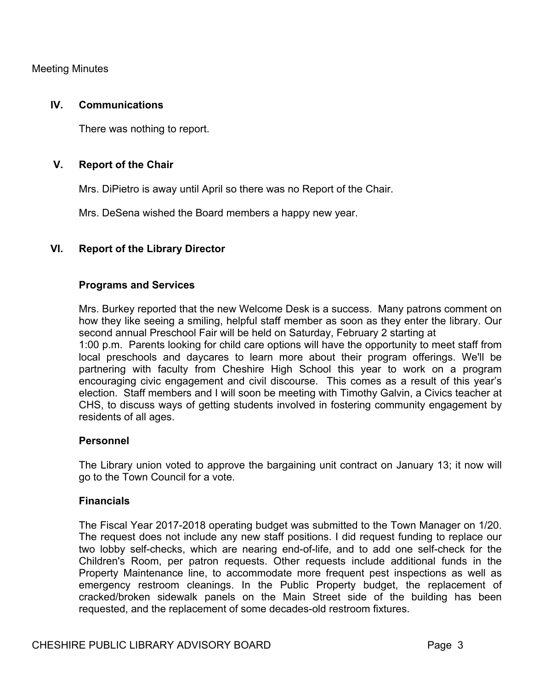Meeting Minutes

#### **IV. Communications**

There was nothing to report.

## **V. Report of the Chair**

Mrs. DiPietro is away until April so there was no Report of the Chair.

Mrs. DeSena wished the Board members a happy new year.

#### **VI. Report of the Library Director**

#### **Programs and Services**

Mrs. Burkey reported that the new Welcome Desk is a success. Many patrons comment on how they like seeing a smiling, helpful staff member as soon as they enter the library. Our second annual Preschool Fair will be held on Saturday, February 2 starting at 1:00 p.m. Parents looking for child care options will have the opportunity to meet staff from local preschools and daycares to learn more about their program offerings. We'll be partnering with faculty from Cheshire High School this year to work on a program encouraging civic engagement and civil discourse. This comes as a result of this year's election. Staff members and I will soon be meeting with Timothy Galvin, a Civics teacher at CHS, to discuss ways of getting students involved in fostering community engagement by residents of all ages.

#### **Personnel**

The Library union voted to approve the bargaining unit contract on January 13; it now will go to the Town Council for a vote.

#### **Financials**

The Fiscal Year 2017-2018 operating budget was submitted to the Town Manager on 1/20. The request does not include any new staff positions. I did request funding to replace our two lobby self-checks, which are nearing end-of-life, and to add one self-check for the Children's Room, per patron requests. Other requests include additional funds in the Property Maintenance line, to accommodate more frequent pest inspections as well as emergency restroom cleanings. In the Public Property budget, the replacement of cracked/broken sidewalk panels on the Main Street side of the building has been requested, and the replacement of some decades-old restroom fixtures.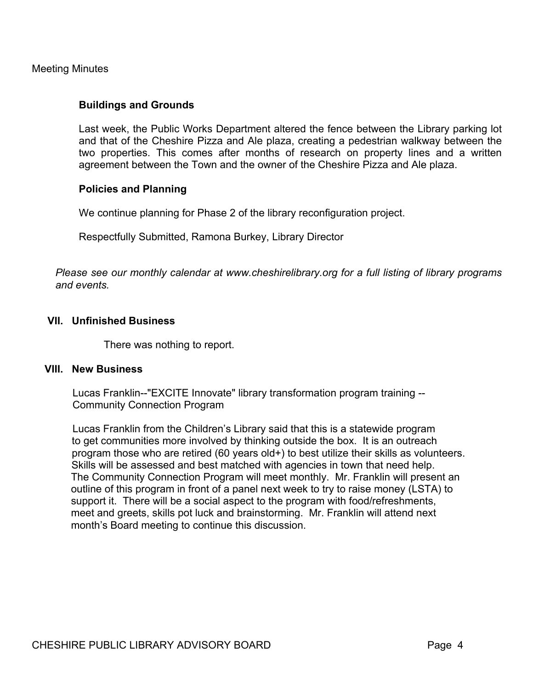Meeting Minutes

#### **Buildings and Grounds**

Last week, the Public Works Department altered the fence between the Library parking lot and that of the Cheshire Pizza and Ale plaza, creating a pedestrian walkway between the two properties. This comes after months of research on property lines and a written agreement between the Town and the owner of the Cheshire Pizza and Ale plaza.

#### **Policies and Planning**

We continue planning for Phase 2 of the library reconfiguration project.

Respectfully Submitted, Ramona Burkey, Library Director

*Please see our monthly calendar at www.cheshirelibrary.org for a full listing of library programs and events.*

#### **VII. Unfinished Business**

There was nothing to report.

#### **VIII. New Business**

 Lucas Franklin--"EXCITE Innovate" library transformation program training -- Community Connection Program

 Lucas Franklin from the Children's Library said that this is a statewide program to get communities more involved by thinking outside the box. It is an outreach program those who are retired (60 years old+) to best utilize their skills as volunteers. Skills will be assessed and best matched with agencies in town that need help. The Community Connection Program will meet monthly. Mr. Franklin will present an outline of this program in front of a panel next week to try to raise money (LSTA) to support it. There will be a social aspect to the program with food/refreshments, meet and greets, skills pot luck and brainstorming. Mr. Franklin will attend next month's Board meeting to continue this discussion.